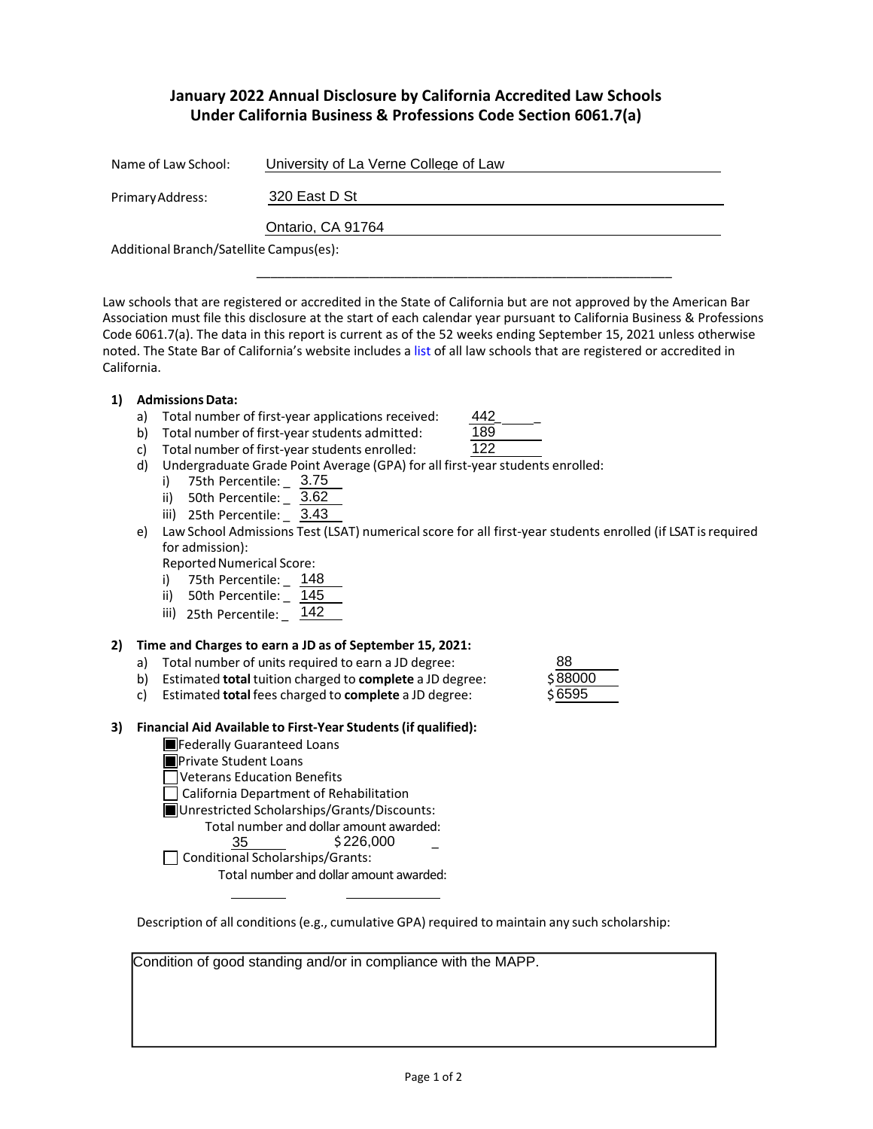# **January 2022 Annual Disclosure by California Accredited Law Schools Under California Business & Professions Code Section 6061.7(a)**

| Name of Law School:                     | University of La Verne College of Law |
|-----------------------------------------|---------------------------------------|
| Primary Address:                        | 320 East D St                         |
|                                         | Ontario, CA 91764                     |
| Additional Branch/Satellite Campus(es): |                                       |

Law schools that are registered or accredited in the State of California but are not approved by the American Bar Association must file this disclosure at the start of each calendar year pursuant to California Business & Professions Code 6061.7(a). The data in this report is current as of the 52 weeks ending September 15, 2021 unless otherwise noted. The State Bar of California's website includes a list of all law schools that are registered or accredited in California.

\_\_\_\_\_\_\_\_\_\_\_\_\_\_\_\_\_\_\_\_\_\_\_\_\_\_\_\_\_\_\_\_\_\_\_\_\_\_\_\_\_\_\_\_\_\_\_\_\_\_\_\_\_\_\_\_\_\_\_

442 189 122

### **1) AdmissionsData:**

- a) Total number of first-year applications received:
- b) Total number of first-year students admitted:

| c). | Total number of first-year students enrolled: |  |
|-----|-----------------------------------------------|--|
|-----|-----------------------------------------------|--|

- d) Undergraduate Grade Point Average (GPA) for all first-year students enrolled:
	- i) 75th Percentile: \_ 3.75
	- ii) 50th Percentile: \_ 3.62
	- iii) 25th Percentile: \_ 3.43
- e) Law School Admissions Test (LSAT) numerical score for all first-year students enrolled (if LSAT is required for admission):

Reported Numerical Score:

- i) 75th Percentile: \_ 148
- ii) 50th Percentile: \_ 145
- iii) 25th Percentile: \_ 142

## **2) Time and Charges to earn a JD as of September 15, 2021:**

- a) Total number of units required to earn a JD degree:
- b) Estimated **total** tuition charged to **complete** a JD degree: \$
- c) Estimated **total** fees charged to **complete** a JD degree: \$

## **3) Financial Aid Available to First-Year Students(if qualified):**

**Federally Guaranteed Loans** 

- **Private Student Loans**
- Veterans Education Benefits

California Department of Rehabilitation

Unrestricted Scholarships/Grants/Discounts:

Total number and dollar amount awarded:

 $\frac{35}{5}$  \$226,000  $\overline{a}$ 

 $\Box$  Conditional Scholarships/Grants:

Total number and dollar amount awarded:

Description of all conditions (e.g., cumulative GPA) required to maintain any such scholarship:

Condition of good standing and/or in compliance with the MAPP.

| 88     |  |
|--------|--|
| S88000 |  |
| \$6595 |  |